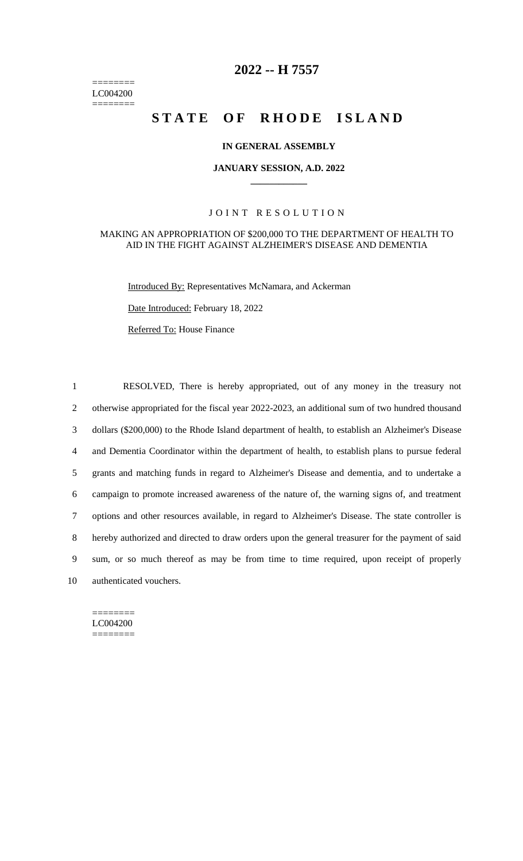======== LC004200 ========

# **2022 -- H 7557**

# **STATE OF RHODE ISLAND**

## **IN GENERAL ASSEMBLY**

#### **JANUARY SESSION, A.D. 2022 \_\_\_\_\_\_\_\_\_\_\_\_**

## JOINT RESOLUTION

#### MAKING AN APPROPRIATION OF \$200,000 TO THE DEPARTMENT OF HEALTH TO AID IN THE FIGHT AGAINST ALZHEIMER'S DISEASE AND DEMENTIA

Introduced By: Representatives McNamara, and Ackerman

Date Introduced: February 18, 2022

Referred To: House Finance

 RESOLVED, There is hereby appropriated, out of any money in the treasury not otherwise appropriated for the fiscal year 2022-2023, an additional sum of two hundred thousand dollars (\$200,000) to the Rhode Island department of health, to establish an Alzheimer's Disease and Dementia Coordinator within the department of health, to establish plans to pursue federal grants and matching funds in regard to Alzheimer's Disease and dementia, and to undertake a campaign to promote increased awareness of the nature of, the warning signs of, and treatment options and other resources available, in regard to Alzheimer's Disease. The state controller is hereby authorized and directed to draw orders upon the general treasurer for the payment of said sum, or so much thereof as may be from time to time required, upon receipt of properly authenticated vouchers.

======== LC004200 ========